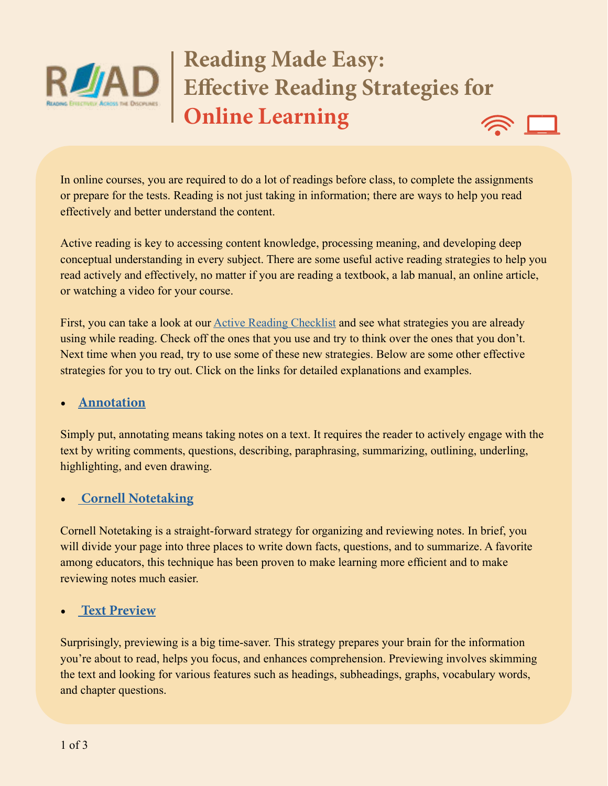

# **Reading Made Easy: Effective Reading Strategies for Online Learning**



In online courses, you are required to do a lot of readings before class, to complete the assignments or prepare for the tests. Reading is not just taking in information; there are ways to help you read effectively and better understand the content.

Active reading is key to accessing content knowledge, processing meaning, and developing deep conceptual understanding in every subject. There are some useful active reading strategies to help you read actively and effectively, no matter if you are reading a textbook, a lab manual, an online article, or watching a video for your course.

First, you can take a look at our **Active Reading Checklist** and see what strategies you are already using while reading. Check off the ones that you use and try to think over the ones that you don't. Next time when you read, try to use some of these new strategies. Below are some other effective strategies for you to try out. Click on the links for detailed explanations and examples.

#### **• [Annotation](https://www.youtube.com/watch?v=w5Mz4nwciWc)**

Simply put, annotating means taking notes on a text. It requires the reader to actively engage with the text by writing comments, questions, describing, paraphrasing, summarizing, outlining, underling, highlighting, and even drawing.

#### **• [Cornell Notetaking](https://www.youtube.com/watch?v=HJCnqj7j7rU)**

Cornell Notetaking is a straight-forward strategy for organizing and reviewing notes. In brief, you will divide your page into three places to write down facts, questions, and to summarize. A favorite among educators, this technique has been proven to make learning more efficient and to make reviewing notes much easier.

#### **• [Text Preview](https://www.youtube.com/watch?v=o6YW-IAIVYQ)**

Surprisingly, previewing is a big time-saver. This strategy prepares your brain for the information you're about to read, helps you focus, and enhances comprehension. Previewing involves skimming the text and looking for various features such as headings, subheadings, graphs, vocabulary words, and chapter questions.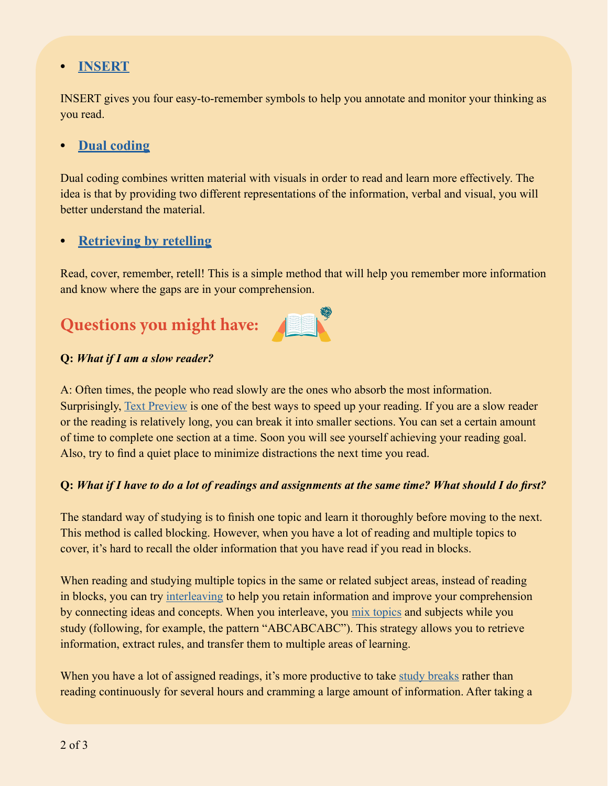## **• [INSERT](http://www.readwritethink.org/files/resources/lesson_images/lesson230/insert.pdf)**

INSERT gives you four easy-to-remember symbols to help you annotate and monitor your thinking as you read.

### **• [Dual coding](https://www.youtube.com/watch?v=6xCZ4XnkpCc)**

Dual coding combines written material with visuals in order to read and learn more effectively. The idea is that by providing two different representations of the information, verbal and visual, you will better understand the material.

#### **• [Retrieving by retelling](https://www.youtube.com/watch?v=Pjrqc6UMDKM)**

Read, cover, remember, retell! This is a simple method that will help you remember more information and know where the gaps are in your comprehension.

# **Questions you might have:**



#### **Q:** *What if I am a slow reader?*

A: Often times, the people who read slowly are the ones who absorb the most information. Surprisingly, [Text Preview](https://www.youtube.com/watch?v=o6YW-IAIVYQ) is one of the best ways to speed up your reading. If you are a slow reader or the reading is relatively long, you can break it into smaller sections. You can set a certain amount of time to complete one section at a time. Soon you will see yourself achieving your reading goal. Also, try to find a quiet place to minimize distractions the next time you read.

#### **Q:** *What if I have to do a lot of readings and assignments at the same time? What should I do first?*

The standard way of studying is to finish one topic and learn it thoroughly before moving to the next. This method is called blocking. However, when you have a lot of reading and multiple topics to cover, it's hard to recall the older information that you have read if you read in blocks.

When reading and studying multiple topics in the same or related subject areas, instead of reading in blocks, you can try [interleaving](https://www.youtube.com/watch?v=aJvtw_ggXE8&feature=youtu.be) to help you retain information and improve your comprehension by connecting ideas and concepts. When you interleave, you [mix topics](https://www.youtube.com/watch?v=WbDpYMp8F6o&feature=youtu.be) and subjects while you study (following, for example, the pattern "ABCABCABC"). This strategy allows you to retrieve information, extract rules, and transfer them to multiple areas of learning.

When you have a lot of assigned readings, it's more productive to take [study breaks](https://www.fastweb.com/student-life/articles/energizing-study-break-ideas-what-to-avoid) rather than reading continuously for several hours and cramming a large amount of information. After taking a